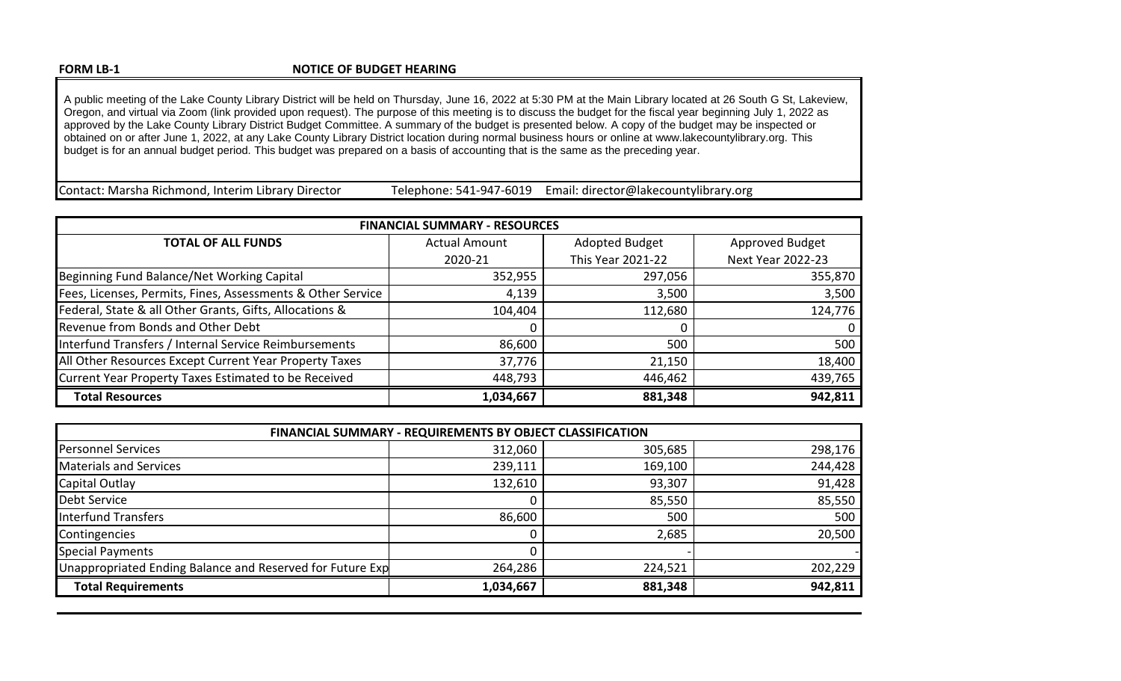## **NOTICE OF BUDGET HEARING**

A public meeting of the Lake County Library District will be held on Thursday, June 16, 2022 at 5:30 PM at the Main Library located at 26 South G St, Lakeview, Oregon, and virtual via Zoom (link provided upon request). The purpose of this meeting is to discuss the budget for the fiscal year beginning July 1, 2022 as approved by the Lake County Library District Budget Committee. A summary of the budget is presented below. A copy of the budget may be inspected or obtained on or after June 1, 2022, at any Lake County Library District location during normal business hours or online at www.lakecountylibrary.org. This budget is for an annual budget period. This budget was prepared on a basis of accounting that is the same as the preceding year.

Contact: Marsha Richmond, Interim Library Director Fullephone: 541-947-6019 Email: director@lakecountylibrary.org

| <b>FINANCIAL SUMMARY - RESOURCES</b>                        |                      |                   |                          |
|-------------------------------------------------------------|----------------------|-------------------|--------------------------|
| <b>TOTAL OF ALL FUNDS</b>                                   | <b>Actual Amount</b> | Adopted Budget    | Approved Budget          |
|                                                             | 2020-21              | This Year 2021-22 | <b>Next Year 2022-23</b> |
| Beginning Fund Balance/Net Working Capital                  | 352,955              | 297,056           | 355,870                  |
| Fees, Licenses, Permits, Fines, Assessments & Other Service | 4,139                | 3,500             | 3,500                    |
| Federal, State & all Other Grants, Gifts, Allocations &     | 104,404              | 112,680           | 124,776                  |
| Revenue from Bonds and Other Debt                           | 0                    |                   |                          |
| Interfund Transfers / Internal Service Reimbursements       | 86,600               | 500               | 500                      |
| All Other Resources Except Current Year Property Taxes      | 37,776               | 21,150            | 18,400                   |
| Current Year Property Taxes Estimated to be Received        | 448,793              | 446,462           | 439,765                  |
| <b>Total Resources</b>                                      | 1,034,667            | 881,348           | 942,811                  |

| FINANCIAL SUMMARY - REQUIREMENTS BY OBJECT CLASSIFICATION |           |         |         |
|-----------------------------------------------------------|-----------|---------|---------|
| <b>Personnel Services</b>                                 | 312,060   | 305,685 | 298,176 |
| Materials and Services                                    | 239,111   | 169,100 | 244,428 |
| Capital Outlay                                            | 132,610   | 93,307  | 91,428  |
| Debt Service                                              |           | 85,550  | 85,550  |
| Interfund Transfers                                       | 86,600    | 500     | 500     |
| Contingencies                                             |           | 2,685   | 20,500  |
| <b>Special Payments</b>                                   |           |         |         |
| Unappropriated Ending Balance and Reserved for Future Exp | 264,286   | 224,521 | 202,229 |
| <b>Total Requirements</b>                                 | 1,034,667 | 881,348 | 942,811 |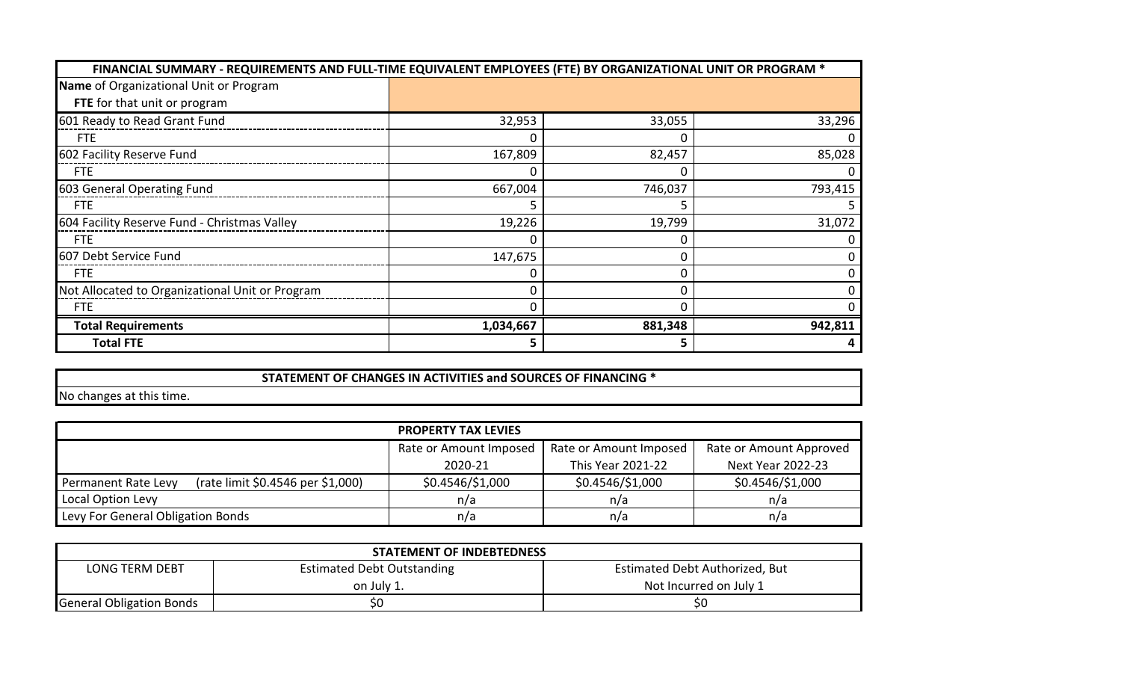| FINANCIAL SUMMARY - REQUIREMENTS AND FULL-TIME EQUIVALENT EMPLOYEES (FTE) BY ORGANIZATIONAL UNIT OR PROGRAM * |           |         |         |
|---------------------------------------------------------------------------------------------------------------|-----------|---------|---------|
| Name of Organizational Unit or Program                                                                        |           |         |         |
| FTE for that unit or program                                                                                  |           |         |         |
| 601 Ready to Read Grant Fund                                                                                  | 32,953    | 33,055  | 33,296  |
| <b>FTE</b>                                                                                                    |           |         |         |
| 602 Facility Reserve Fund                                                                                     | 167,809   | 82,457  | 85,028  |
| <b>FTE</b>                                                                                                    |           |         |         |
| 603 General Operating Fund                                                                                    | 667,004   | 746,037 | 793,415 |
| <b>FTE</b>                                                                                                    |           |         |         |
| 604 Facility Reserve Fund - Christmas Valley                                                                  | 19,226    | 19,799  | 31,072  |
| <b>FTE</b>                                                                                                    | 0         |         |         |
| 607 Debt Service Fund                                                                                         | 147,675   |         | 0       |
| <b>FTE</b>                                                                                                    |           |         |         |
| Not Allocated to Organizational Unit or Program                                                               | 0         |         |         |
| <b>FTE</b>                                                                                                    |           |         |         |
| <b>Total Requirements</b>                                                                                     | 1,034,667 | 881,348 | 942,811 |
| <b>Total FTE</b>                                                                                              | 5         |         |         |

**STATEMENT OF CHANGES IN ACTIVITIES and SOURCES OF FINANCING \***

No changes at this time.

| <b>PROPERTY TAX LEVIES</b>                               |                        |                        |                          |
|----------------------------------------------------------|------------------------|------------------------|--------------------------|
|                                                          | Rate or Amount Imposed | Rate or Amount Imposed | Rate or Amount Approved  |
|                                                          | 2020-21                | This Year 2021-22      | <b>Next Year 2022-23</b> |
| (rate limit \$0.4546 per \$1,000)<br>Permanent Rate Levy | \$0.4546/\$1,000       | \$0.4546/\$1,000       | \$0.4546/\$1,000         |
| Local Option Levy                                        | n/a                    | n/a                    | n/a                      |
| Levy For General Obligation Bonds                        | n/a                    | n/a                    | n/a                      |

| <b>STATEMENT OF INDEBTEDNESS</b> |                                   |                                       |  |
|----------------------------------|-----------------------------------|---------------------------------------|--|
| <b>LONG TERM DEBT</b>            | <b>Estimated Debt Outstanding</b> | <b>Estimated Debt Authorized, But</b> |  |
|                                  | on July 1.                        | Not Incurred on July 1                |  |
| <b>General Obligation Bonds</b>  | \$0                               | \$0                                   |  |